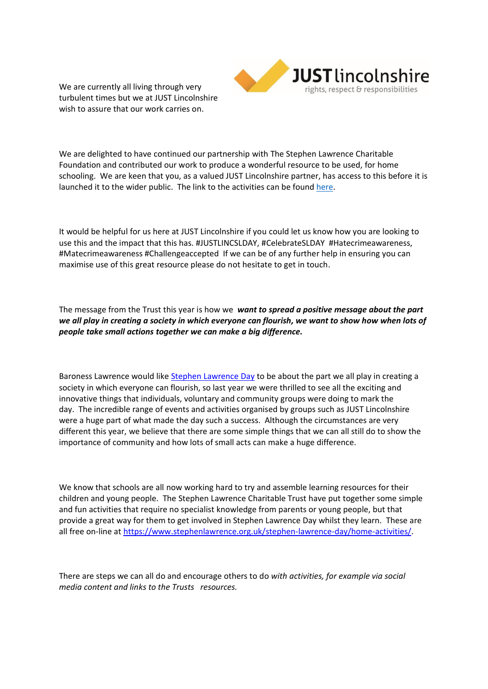We are currently all living through very turbulent times but we at JUST Lincolnshire wish to assure that our work carries on.



We are delighted to have continued our partnership with The Stephen Lawrence Charitable Foundation and contributed our work to produce a wonderful resource to be used, for home schooling. We are keen that you, as a valued JUST Lincolnshire partner, has access to this before it is launched it to the wider public. The link to the activities can be found [here.](https://www.stephenlawrence.org.uk/stephen-lawrence-day/home-activities/)

It would be helpful for us here at JUST Lincolnshire if you could let us know how you are looking to use this and the impact that this has. #JUSTLINCSLDAY, #CelebrateSLDAY #Hatecrimeawareness, #Matecrimeawareness #Challengeaccepted If we can be of any further help in ensuring you can maximise use of this great resource please do not hesitate to get in touch.

The message from the Trust this year is how we *want to spread a positive message about the part we all play in creating a society in which everyone can flourish, we want to show how when lots of people take small actions together we can make a big difference.*

Baroness Lawrence would like [Stephen Lawrence Day](https://www.stephenlawrence.org.uk/stephen-lawrence-day/about-stephen-lawrence-day/) to be about the part we all play in creating a society in which everyone can flourish, so last year we were thrilled to see all the exciting and innovative things that individuals, voluntary and community groups were doing to mark the day. The incredible range of events and activities organised by groups such as JUST Lincolnshire were a huge part of what made the day such a success. Although the circumstances are very different this year, we believe that there are some simple things that we can all still do to show the importance of community and how lots of small acts can make a huge difference.

We know that schools are all now working hard to try and assemble learning resources for their children and young people. The Stephen Lawrence Charitable Trust have put together some simple and fun activities that require no specialist knowledge from parents or young people, but that provide a great way for them to get involved in Stephen Lawrence Day whilst they learn. These are all free on-line at [https://www.stephenlawrence.org.uk/stephen-lawrence-day/home-activities/.](https://www.stephenlawrence.org.uk/stephen-lawrence-day/home-activities/)

There are steps we can all do and encourage others to do *with activities, for example via social media content and links to the Trusts resources.*